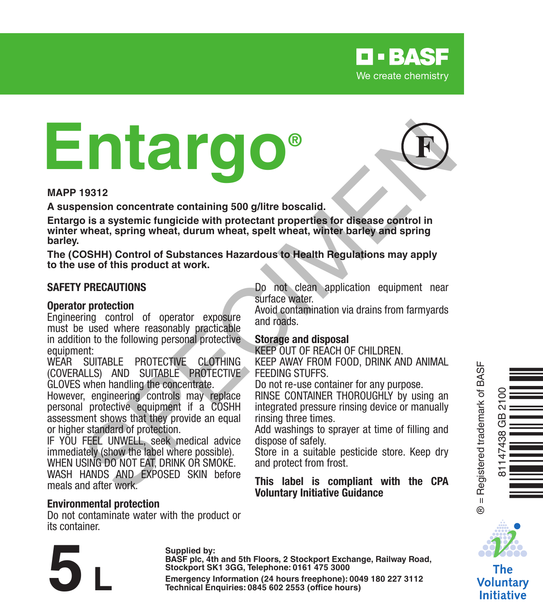

# **Entargo® Example 1980**<br>
Sension concentrate containing 500 g/litre boscalid.<br>
Design a systemic fungicide with protectant properties for disease control in<br>
wheat, spring wheat, durum wheat, spelt wheat, white barley and spring<br>
S



**MAPP 19312**

**A suspension concentrate containing 500 g/litre boscalid.**

**Entargo is a systemic fungicide with protectant properties for disease control in winter wheat, spring wheat, durum wheat, spelt wheat, winter barley and spring barley.**

**The (COSHH) Control of Substances Hazardous to Health Regulations may apply to the use of this product at work.**

### **SAFETY PRECAUTIONS**

### **Operator protection**

Engineering control of operator exposure must be used where reasonably practicable in addition to the following personal protective equipment:

WEAR SUITABLE PROTECTIVE CLOTHING (COVERALLS) AND SUITABLE PROTECTIVE GLOVES when handling the concentrate.

However, engineering controls may replace personal protective equipment if a COSHH assessment shows that they provide an equal or higher standard of protection.

IF YOU FEEL UNWELL, seek medical advice immediately (show the label where possible).

WHEN USING DO NOT FAT, DRINK OR SMOKE. WASH HANDS AND EXPOSED SKIN before

meals and after work.

### **Environmental protection**

Do not contaminate water with the product or its container.

Do not clean application equipment near surface water.

Avoid contamination via drains from farmyards and roads.

### **Storage and disposal**

KEEP OUT OF REACH OF CHILDREN.

KEEP AWAY FROM FOOD, DRINK AND ANIMAL FEEDING STUFFS.

Do not re-use container for any purpose.

RINSE CONTAINER THOROUGHLY by using an integrated pressure rinsing device or manually rinsing three times.

Add washings to sprayer at time of filling and dispose of safely.

Store in a suitable pesticide store. Keep dry and protect from frost.

### **This label is compliant with the CPA Voluntary Initiative Guidance**



® = Registered trademark of BASF

 $\ddot{\circ}$ 



The **Voluntary** Initiative

Supplied by:<br>BASF plc, 4th and 5th Floors, 2 Stockport Exchange, Railway Road,<br>Stockport SK1 3GG, Telephone: 0161 475 3000<br>Emergency Information (24 hours freephone): 0049 180 227 3112<br>Technical Enquiries: 0845 602 2553 (o **Stockport SK1 3GG, Telephone: 0161 475 3000**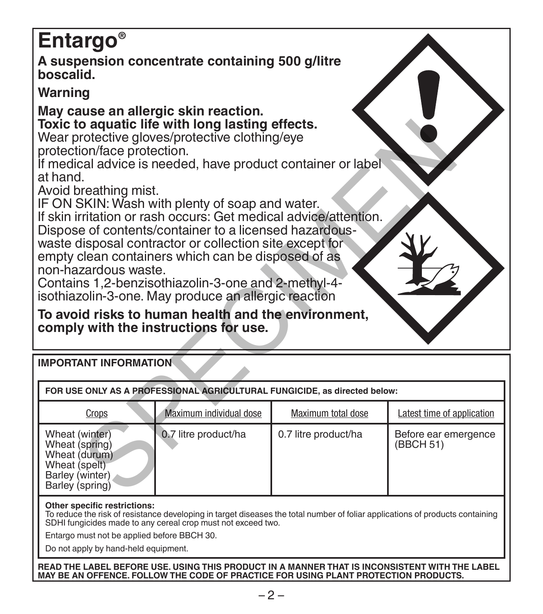# **Entargo®**

**A suspension concentrate containing 500 g/litre boscalid.**

# **Warning**

# **May cause an allergic skin reaction. Toxic to aquatic life with long lasting effects.**

| Toxic to aquatic life with long lasting effects.<br>Wear protective gloves/protective clothing/eye<br>protection/face protection.<br>If medical advice is needed, have product container or label<br>at hand.<br>Avoid breathing mist.<br>IF ON SKIN: Wash with plenty of soap and water.<br>If skin irritation or rash occurs: Get medical advice/attention.<br>Dispose of contents/container to a licensed hazardous-<br>waste disposal contractor or collection site except for<br>empty clean containers which can be disposed of as<br>non-hazardous waste.<br>Contains 1,2-benzisothiazolin-3-one and 2-methyl-4-<br>isothiazolin-3-one. May produce an allergic reaction<br>To avoid risks to human health and the environment,<br>comply with the instructions for use. |                         |                      |                                   |  |  |  |  |  |
|---------------------------------------------------------------------------------------------------------------------------------------------------------------------------------------------------------------------------------------------------------------------------------------------------------------------------------------------------------------------------------------------------------------------------------------------------------------------------------------------------------------------------------------------------------------------------------------------------------------------------------------------------------------------------------------------------------------------------------------------------------------------------------|-------------------------|----------------------|-----------------------------------|--|--|--|--|--|
| <b>IMPORTANT INFORMATION</b>                                                                                                                                                                                                                                                                                                                                                                                                                                                                                                                                                                                                                                                                                                                                                    |                         |                      |                                   |  |  |  |  |  |
| FOR USE ONLY AS A PROFESSIONAL AGRICULTURAL FUNGICIDE, as directed below:                                                                                                                                                                                                                                                                                                                                                                                                                                                                                                                                                                                                                                                                                                       |                         |                      |                                   |  |  |  |  |  |
| Crops                                                                                                                                                                                                                                                                                                                                                                                                                                                                                                                                                                                                                                                                                                                                                                           | Maximum individual dose |                      | Latest time of application        |  |  |  |  |  |
| Wheat (winter)<br>Wheat (spring)<br>Wheat (durum)<br>Wheat (spelt)<br>Barley (winter)<br>Barley (spring)                                                                                                                                                                                                                                                                                                                                                                                                                                                                                                                                                                                                                                                                        | 0.7 litre product/ha    | 0.7 litre product/ha | Before ear emergence<br>(BBCH 51) |  |  |  |  |  |
| Other specific restrictions:<br>To reduce the risk of resistance developing in target diseases the total number of foliar applications of products containing<br>SDHI fungicides made to any cereal crop must not exceed two.<br>Entargo must not be applied before BBCH 30.<br>Do not apply by hand-held equipment.                                                                                                                                                                                                                                                                                                                                                                                                                                                            |                         |                      |                                   |  |  |  |  |  |

**READ THE LABEL BEFORE USE. USING THIS PRODUCT IN A MANNER THAT IS INCONSISTENT WITH THE LABEL MAY BE AN OFFENCE. FOLLOW THE CODE OF PRACTICE FOR USING PLANT PROTECTION PRODUCTS.**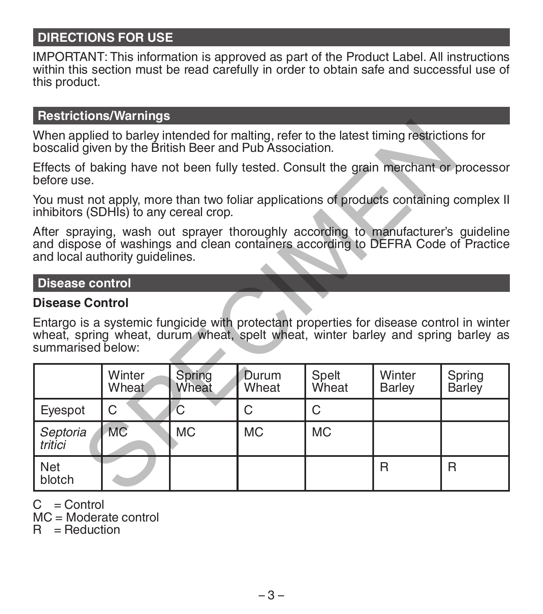# **DIRECTIONS FOR USE**

IMPORTANT: This information is approved as part of the Product Label. All instructions within this section must be read carefully in order to obtain safe and successful use of this product.

## **Restrictions/Warnings**

### **Disease control**

## **Disease Control**

| When applied to barley intended for malting, refer to the latest timing restrictions for<br>boscalid given by the British Beer and Pub Association.                                                      |                 |                 |                |                |                  |                  |  |  |  |
|----------------------------------------------------------------------------------------------------------------------------------------------------------------------------------------------------------|-----------------|-----------------|----------------|----------------|------------------|------------------|--|--|--|
| Effects of baking have not been fully tested. Consult the grain merchant or processor<br>before use.                                                                                                     |                 |                 |                |                |                  |                  |  |  |  |
| You must not apply, more than two foliar applications of products containing complex II<br>inhibitors (SDHIs) to any cereal crop.                                                                        |                 |                 |                |                |                  |                  |  |  |  |
| After spraying, wash out sprayer thoroughly according to manufacturer's guideline<br>and dispose of washings and clean containers according to DEFRA Code of Practice<br>and local authority guidelines. |                 |                 |                |                |                  |                  |  |  |  |
| <b>Disease control</b>                                                                                                                                                                                   |                 |                 |                |                |                  |                  |  |  |  |
| <b>Disease Control</b>                                                                                                                                                                                   |                 |                 |                |                |                  |                  |  |  |  |
| Entargo is a systemic fungicide with protectant properties for disease control in winter<br>wheat, spring wheat, durum wheat, spelt wheat, winter barley and spring barley as<br>summarised below:       |                 |                 |                |                |                  |                  |  |  |  |
|                                                                                                                                                                                                          | Winter<br>Wheat | Spring<br>Wheat | Durum<br>Wheat | Spelt<br>Wheat | Winter<br>Barley | Spring<br>Barley |  |  |  |
| Evespot                                                                                                                                                                                                  | C               | C               | C              | C              |                  |                  |  |  |  |
| Septoria<br>tritici                                                                                                                                                                                      | <b>MC</b>       | <b>MC</b>       | <b>MC</b>      | <b>MC</b>      |                  |                  |  |  |  |
| Net<br>blotch                                                                                                                                                                                            |                 |                 |                |                | R                | R                |  |  |  |

 $C =$  Control

MC = Moderate control

 $R =$  Reduction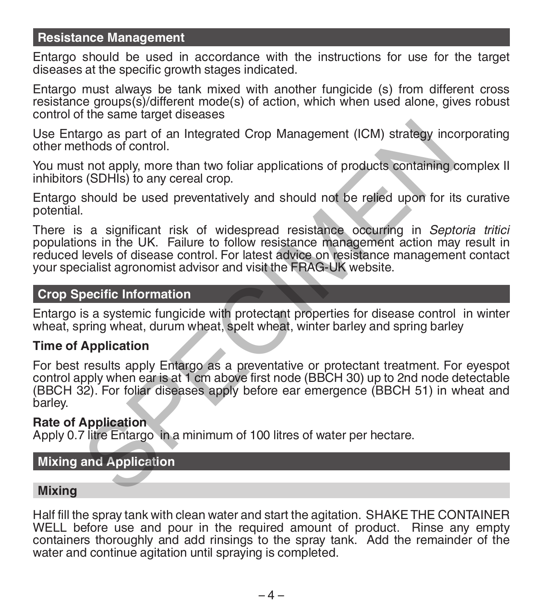## **Resistance Management**

Entargo should be used in accordance with the instructions for use for the target diseases at the specific growth stages indicated.

Entargo must always be tank mixed with another fungicide (s) from different cross resistance groups(s)/different mode(s) of action, which when used alone, gives robust control of the same target diseases

Use Entargo as part of an Integrated Crop Management (ICM) strategy incorporating other methods of control.

You must not apply, more than two foliar applications of products containing complex II inhibitors (SDHIs) to any cereal crop.

Entargo should be used preventatively and should not be relied upon for its curative potential.

There is a significant risk of widespread resistance occurring in *Septoria tritici* populations in the UK. Failure to follow resistance management action may result in reduced levels of disease control. For latest advice on resistance management contact your specialist agronomist advisor and visit the FRAG-UK website. argo as part of an Integrated Crop Management (ICM) strategy incertinds of control.<br>
thods of control.<br>
thods of control.<br>
thod apply, more than two foliar applications of products containing a<br>
(SDHIs) to any cereal crop.

## **Crop Specific Information**

Entargo is a systemic fungicide with protectant properties for disease control in winter wheat, spring wheat, durum wheat, spelt wheat, winter barley and spring barley

### **Time of Application**

For best results apply Entargo as a preventative or protectant treatment. For eyespot control apply when ear is at 1 cm above first node (BBCH 30) up to 2nd node detectable (BBCH 32). For foliar diseases apply before ear emergence (BBCH 51) in wheat and barley.

### **Rate of Application**

Apply 0.7 litre Entargo in a minimum of 100 litres of water per hectare.

## **Mixing and Application**

### **Mixing**

Half fill the spray tank with clean water and start the agitation. SHAKE THE CONTAINER WELL before use and pour in the required amount of product. Rinse any empty containers thoroughly and add rinsings to the spray tank. Add the remainder of the water and continue agitation until spraying is completed.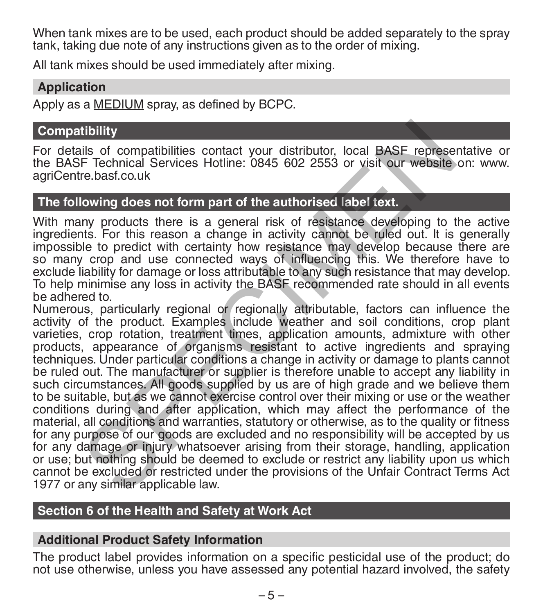When tank mixes are to be used, each product should be added separately to the spray tank, taking due note of any instructions given as to the order of mixing.

All tank mixes should be used immediately after mixing.

### **Application**

Apply as a MEDIUM spray, as defined by BCPC.

### **Compatibility**

For details of compatibilities contact your distributor, local BASF representative or the BASF Technical Services Hotline: 0845 602 2553 or visit our website on: www. agriCentre.basf.co.uk

## **The following does not form part of the authorised label text.**

With many products there is a general risk of resistance developing to the active ingredients. For this reason a change in activity cannot be ruled out. It is generally impossible to predict with certainty how resistance may develop because there are so many crop and use connected ways of influencing this. We therefore have to exclude liability for damage or loss attributable to any such resistance that may develop. To help minimise any loss in activity the BASF recommended rate should in all events be adhered to.

Numerous, particularly regional or regionally attributable, factors can influence the activity of the product. Examples include weather and soil conditions, crop plant varieties, crop rotation, treatment times, application amounts, admixture with other products, appearance of organisms resistant to active ingredients and spraying techniques. Under particular conditions a change in activity or damage to plants cannot be ruled out. The manufacturer or supplier is therefore unable to accept any liability in such circumstances. All goods supplied by us are of high grade and we believe them to be suitable, but as we cannot exercise control over their mixing or use or the weather conditions during and after application, which may affect the performance of the material, all conditions and warranties, statutory or otherwise, as to the quality or fitness for any purpose of our goods are excluded and no responsibility will be accepted by us for any damage or injury whatsoever arising from their storage, handling, application or use; but nothing should be deemed to exclude or restrict any liability upon us which cannot be excluded or restricted under the provisions of the Unfair Contract Terms Act 1977 or any similar applicable law. tibility<br>
iis of compatibilities contact your distributor, local BASF represe<br>
F Technical Services Hotline: 0845 602 2553 or visit our website<br>
re.bast.co.uk<br>
lowing does not form part of the authorised label text.<br>
inver

# **Section 6 of the Health and Safety at Work Act**

### **Additional Product Safety Information**

The product label provides information on a specific pesticidal use of the product; do not use otherwise, unless you have assessed any potential hazard involved, the safety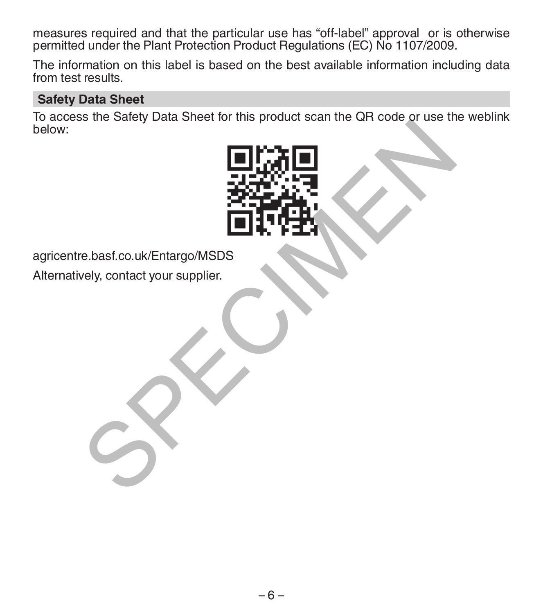measures required and that the particular use has "off-label" approval or is otherwise permitted under the Plant Protection Product Regulations (EC) No 1107/2009.

The information on this label is based on the best available information including data from test results.

# **Safety Data Sheet**

To access the Safety Data Sheet for this product scan the QR code or use the weblink below:



agricentre.basf.co.uk/Entargo/MSDS

Alternatively, contact your supplier.